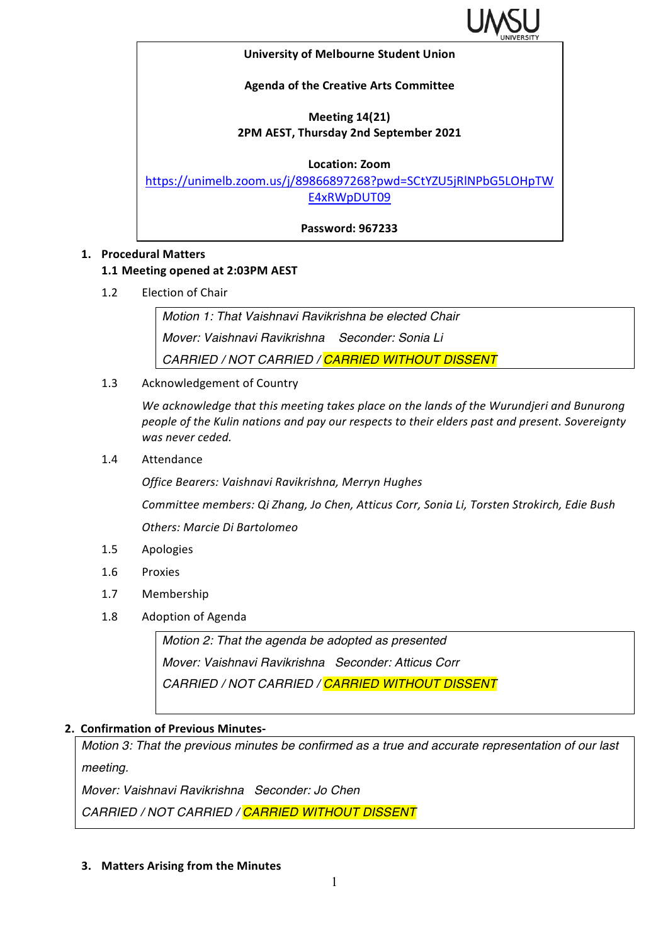

#### **University of Melbourne Student Union**

#### **Agenda of the Creative Arts Committee**

## **Meeting 14(21) 2PM AEST, Thursday 2nd September 2021**

#### **Location: Zoom**

https://unimelb.zoom.us/j/89866897268?pwd=SCtYZU5jRlNPbG5LOHpTW E4xRWpDUT09

**Password: 967233**

#### **1. Procedural Matters**

### **1.1 Meeting opened at 2:03PM AEST**

1.2 Election of Chair

*Motion 1: That Vaishnavi Ravikrishna be elected Chair Mover: Vaishnavi Ravikrishna Seconder: Sonia Li CARRIED / NOT CARRIED / CARRIED WITHOUT DISSENT*

1.3 Acknowledgement of Country

We acknowledge that this meeting takes place on the lands of the Wurundjeri and Bunurong people of the Kulin nations and pay our respects to their elders past and present. Sovereignty *was never ceded.* 

1.4 Attendance

*Office Bearers: Vaishnavi Ravikrishna, Merryn Hughes*

*Committee members: Qi Zhang, Jo Chen, Atticus Corr, Sonia Li, Torsten Strokirch, Edie Bush*

*Others: Marcie Di Bartolomeo*

- 1.5 Apologies
- 1.6 Proxies
- 1.7 Membership
- 1.8 Adoption of Agenda

*Motion 2: That the agenda be adopted as presented Mover: Vaishnavi Ravikrishna Seconder: Atticus Corr CARRIED / NOT CARRIED / CARRIED WITHOUT DISSENT*

#### **2. Confirmation of Previous Minutes-**

*Motion 3: That the previous minutes be confirmed as a true and accurate representation of our last meeting.*

*Mover: Vaishnavi Ravikrishna Seconder: Jo Chen*

*CARRIED / NOT CARRIED / CARRIED WITHOUT DISSENT*

**3.** Matters Arising from the Minutes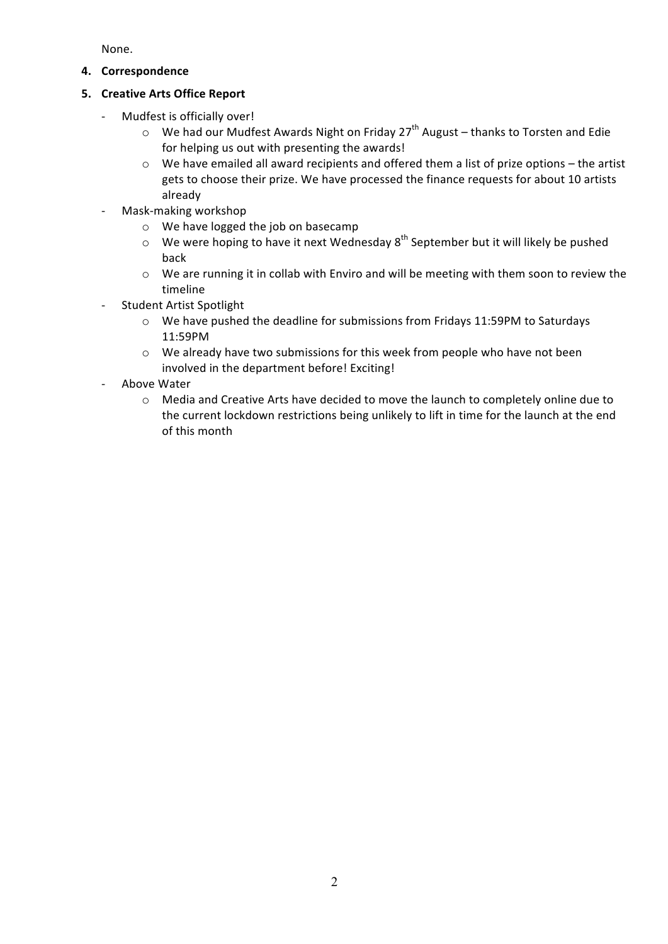None.

**4. Correspondence**

## **5. Creative Arts Office Report**

- Mudfest is officially over!
	- $\circ$  We had our Mudfest Awards Night on Friday 27<sup>th</sup> August thanks to Torsten and Edie for helping us out with presenting the awards!
	- $\circ$  We have emailed all award recipients and offered them a list of prize options the artist gets to choose their prize. We have processed the finance requests for about 10 artists already
- Mask-making workshop
	- $\circ$  We have logged the job on basecamp
	- $\circ$  We were hoping to have it next Wednesday  $8^{th}$  September but it will likely be pushed back
	- $\circ$  We are running it in collab with Enviro and will be meeting with them soon to review the timeline
- Student Artist Spotlight
	- $\circ$  We have pushed the deadline for submissions from Fridays 11:59PM to Saturdays 11:59PM
	- $\circ$  We already have two submissions for this week from people who have not been involved in the department before! Exciting!
- Above Water
	- $\circ$  Media and Creative Arts have decided to move the launch to completely online due to the current lockdown restrictions being unlikely to lift in time for the launch at the end of this month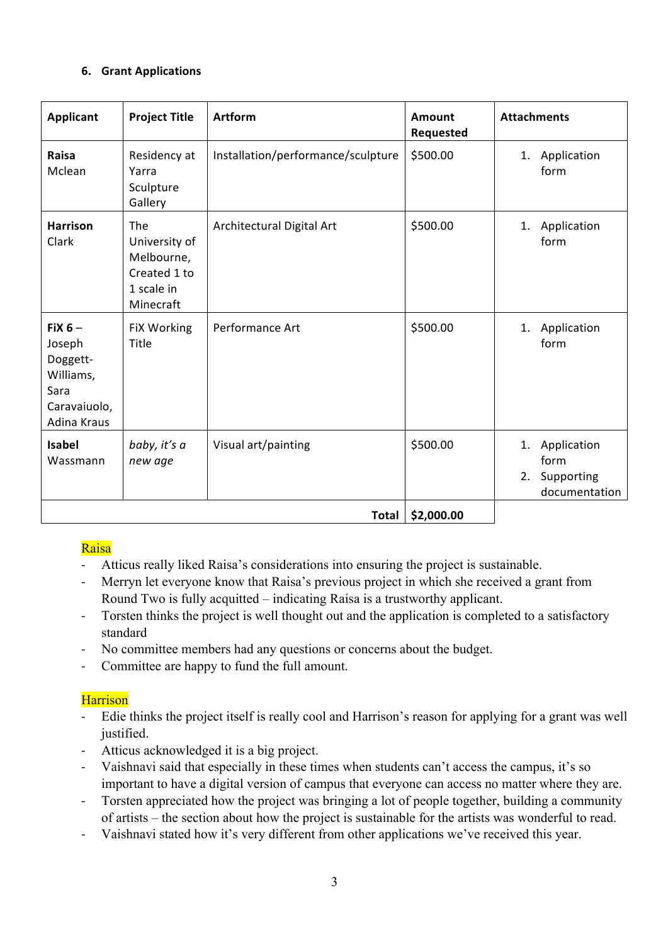## **6. Grant Applications**

| <b>Applicant</b>                                                                   | <b>Project Title</b>                                                          | <b>Artform</b>                     | <b>Amount</b><br>Requested | <b>Attachments</b>                                             |
|------------------------------------------------------------------------------------|-------------------------------------------------------------------------------|------------------------------------|----------------------------|----------------------------------------------------------------|
| Raisa<br>Mclean                                                                    | Residency at<br>Yarra<br>Sculpture<br>Gallery                                 | Installation/performance/sculpture | \$500.00                   | Application<br>1.<br>form                                      |
| <b>Harrison</b><br>Clark                                                           | The<br>University of<br>Melbourne,<br>Created 1 to<br>1 scale in<br>Minecraft | Architectural Digital Art          | \$500.00                   | Application<br>1.<br>form                                      |
| FiX $6-$<br>Joseph<br>Doggett-<br>Williams,<br>Sara<br>Caravaiuolo,<br>Adina Kraus | FiX Working<br>Title                                                          | Performance Art                    | \$500.00                   | Application<br>1.<br>form                                      |
| <b>Isabel</b><br>Wassmann                                                          | baby, it's a<br>new age                                                       | Visual art/painting                | \$500.00                   | Application<br>1.<br>form<br>Supporting<br>2.<br>documentation |
| \$2,000.00<br><b>Total</b>                                                         |                                                                               |                                    |                            |                                                                |

## Raisa

- Atticus really liked Raisa's considerations into ensuring the project is sustainable.
- Merryn let everyone know that Raisa's previous project in which she received a grant from Round Two is fully acquitted – indicating Raisa is a trustworthy applicant.
- Torsten thinks the project is well thought out and the application is completed to a satisfactory standard
- No committee members had any questions or concerns about the budget.
- Committee are happy to fund the full amount.

## **Harrison**

- Edie thinks the project itself is really cool and Harrison's reason for applying for a grant was well justified.
- Atticus acknowledged it is a big project.
- Vaishnavi said that especially in these times when students can't access the campus, it's so important to have a digital version of campus that everyone can access no matter where they are.
- Torsten appreciated how the project was bringing a lot of people together, building a community of artists – the section about how the project is sustainable for the artists was wonderful to read.
- Vaishnavi stated how it's very different from other applications we've received this year.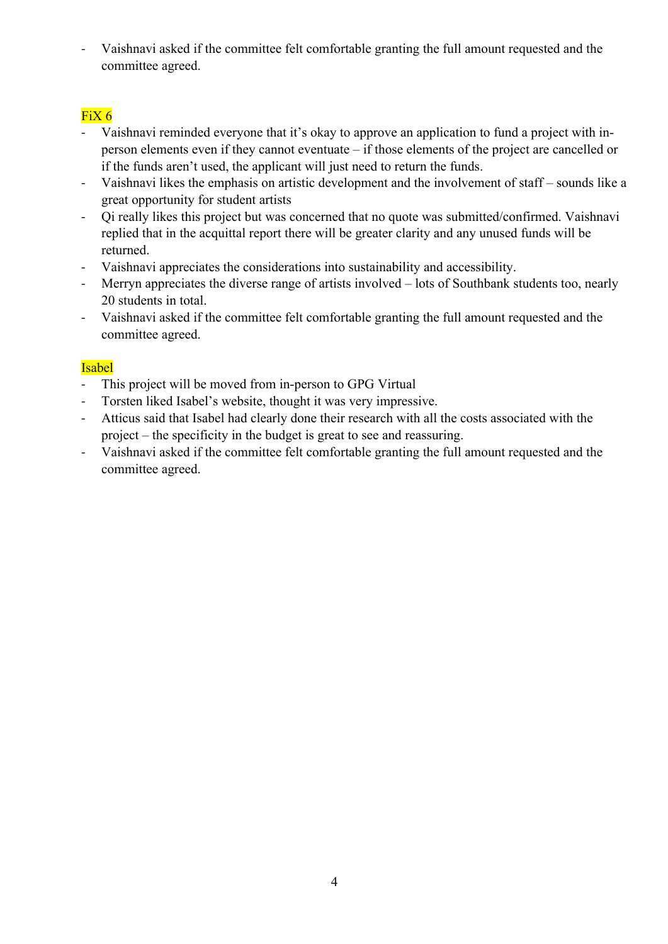- Vaishnavi asked if the committee felt comfortable granting the full amount requested and the committee agreed.

# FiX 6

- Vaishnavi reminded everyone that it's okay to approve an application to fund a project with inperson elements even if they cannot eventuate – if those elements of the project are cancelled or if the funds aren't used, the applicant will just need to return the funds.
- Vaishnavi likes the emphasis on artistic development and the involvement of staff sounds like a great opportunity for student artists
- Qi really likes this project but was concerned that no quote was submitted/confirmed. Vaishnavi replied that in the acquittal report there will be greater clarity and any unused funds will be returned.
- Vaishnavi appreciates the considerations into sustainability and accessibility.
- Merryn appreciates the diverse range of artists involved lots of Southbank students too, nearly 20 students in total.
- Vaishnavi asked if the committee felt comfortable granting the full amount requested and the committee agreed.

# Isabel

- This project will be moved from in-person to GPG Virtual
- Torsten liked Isabel's website, thought it was very impressive.
- Atticus said that Isabel had clearly done their research with all the costs associated with the project – the specificity in the budget is great to see and reassuring.
- Vaishnavi asked if the committee felt comfortable granting the full amount requested and the committee agreed.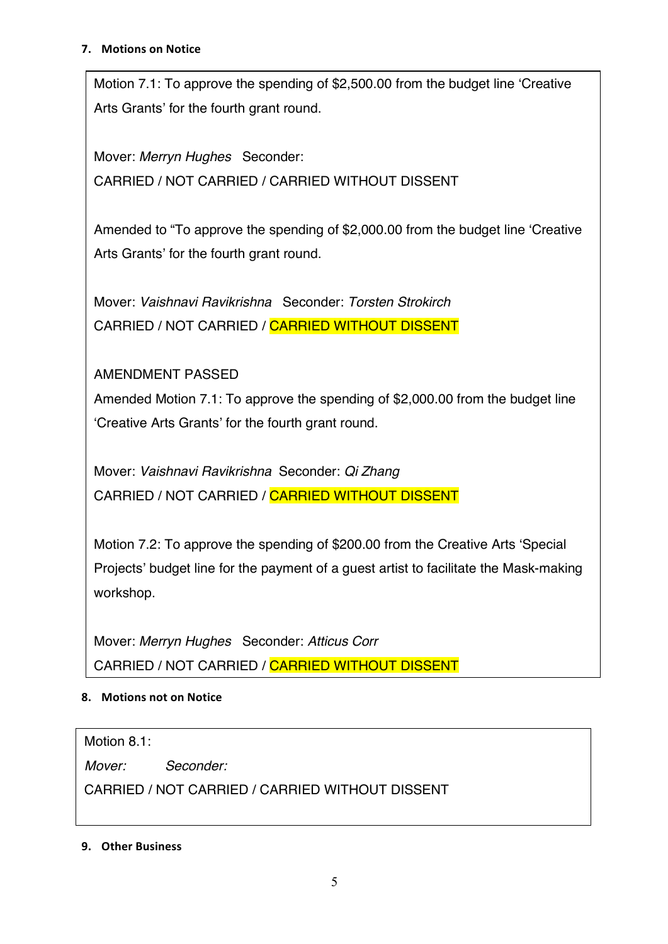### **7.** Motions on Notice

Motion 7.1: To approve the spending of \$2,500.00 from the budget line 'Creative Arts Grants' for the fourth grant round.

Mover: *Merryn Hughes* Seconder: CARRIED / NOT CARRIED / CARRIED WITHOUT DISSENT

Amended to "To approve the spending of \$2,000.00 from the budget line 'Creative Arts Grants' for the fourth grant round.

Mover: *Vaishnavi Ravikrishna* Seconder: *Torsten Strokirch* CARRIED / NOT CARRIED / CARRIED WITHOUT DISSENT

AMENDMENT PASSED

Amended Motion 7.1: To approve the spending of \$2,000.00 from the budget line 'Creative Arts Grants' for the fourth grant round.

Mover: *Vaishnavi Ravikrishna* Seconder: *Qi Zhang* CARRIED / NOT CARRIED / CARRIED WITHOUT DISSENT

Motion 7.2: To approve the spending of \$200.00 from the Creative Arts 'Special Projects' budget line for the payment of a guest artist to facilitate the Mask-making workshop.

Mover: *Merryn Hughes* Seconder: *Atticus Corr* CARRIED / NOT CARRIED / CARRIED WITHOUT DISSENT

# **8.** Motions not on Notice

Motion 8.1:

*Mover: Seconder:* 

CARRIED / NOT CARRIED / CARRIED WITHOUT DISSENT

**9. Other Business**